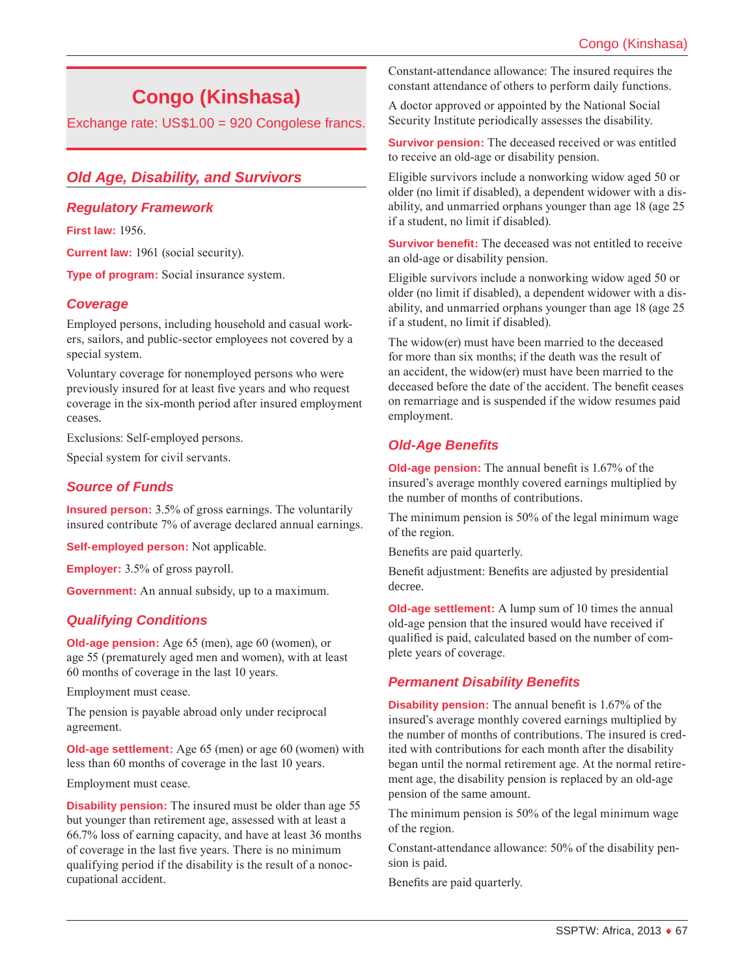# **Congo (Kinshasa)**

Exchange rate: US\$1.00 = 920 Congolese francs.

# *Old Age, Disability, and Survivors*

## *Regulatory Framework*

**First law:** 1956.

**Current law:** 1961 (social security).

**Type of program:** Social insurance system.

## *Coverage*

Employed persons, including household and casual workers, sailors, and public-sector employees not covered by a special system.

Voluntary coverage for nonemployed persons who were previously insured for at least five years and who request coverage in the six-month period after insured employment ceases.

Exclusions: Self-employed persons.

Special system for civil servants.

## *Source of Funds*

**Insured person:** 3.5% of gross earnings. The voluntarily insured contribute 7% of average declared annual earnings.

**Self-employed person:** Not applicable.

**Employer:** 3.5% of gross payroll.

**Government:** An annual subsidy, up to a maximum.

# *Qualifying Conditions*

**Old-age pension:** Age 65 (men), age 60 (women), or age 55 (prematurely aged men and women), with at least 60 months of coverage in the last 10 years.

Employment must cease.

The pension is payable abroad only under reciprocal agreement.

**Old-age settlement:** Age 65 (men) or age 60 (women) with less than 60 months of coverage in the last 10 years.

Employment must cease.

**Disability pension:** The insured must be older than age 55 but younger than retirement age, assessed with at least a 66.7% loss of earning capacity, and have at least 36 months of coverage in the last five years. There is no minimum qualifying period if the disability is the result of a nonoccupational accident.

Constant-attendance allowance: The insured requires the constant attendance of others to perform daily functions.

A doctor approved or appointed by the National Social Security Institute periodically assesses the disability.

**Survivor pension:** The deceased received or was entitled to receive an old-age or disability pension.

Eligible survivors include a nonworking widow aged 50 or older (no limit if disabled), a dependent widower with a disability, and unmarried orphans younger than age 18 (age 25 if a student, no limit if disabled).

**Survivor benefit:** The deceased was not entitled to receive an old-age or disability pension.

Eligible survivors include a nonworking widow aged 50 or older (no limit if disabled), a dependent widower with a disability, and unmarried orphans younger than age 18 (age 25 if a student, no limit if disabled).

The widow(er) must have been married to the deceased for more than six months; if the death was the result of an accident, the widow(er) must have been married to the deceased before the date of the accident. The benefit ceases on remarriage and is suspended if the widow resumes paid employment.

# *Old-Age Benefits*

**Old-age pension:** The annual benefit is 1.67% of the insured's average monthly covered earnings multiplied by the number of months of contributions.

The minimum pension is 50% of the legal minimum wage of the region.

Benefits are paid quarterly.

Benefit adjustment: Benefits are adjusted by presidential decree.

**Old-age settlement:** A lump sum of 10 times the annual old-age pension that the insured would have received if qualified is paid, calculated based on the number of complete years of coverage.

## *Permanent Disability Benefits*

**Disability pension:** The annual benefit is 1.67% of the insured's average monthly covered earnings multiplied by the number of months of contributions. The insured is credited with contributions for each month after the disability began until the normal retirement age. At the normal retirement age, the disability pension is replaced by an old-age pension of the same amount.

The minimum pension is 50% of the legal minimum wage of the region.

Constant-attendance allowance: 50% of the disability pension is paid.

Benefits are paid quarterly.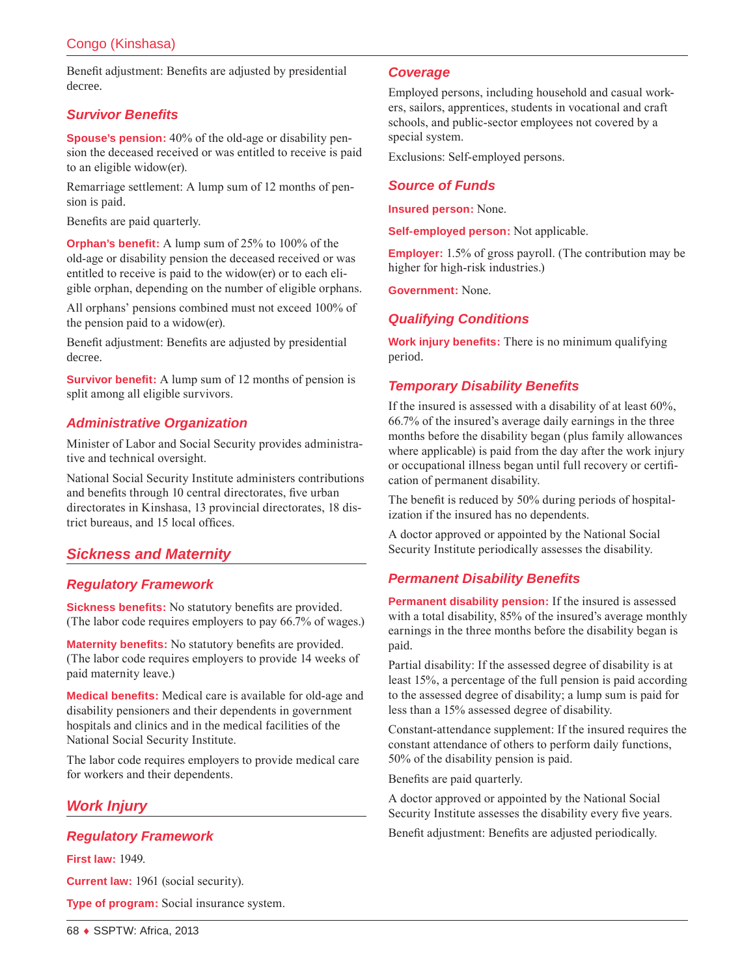Benefit adjustment: Benefits are adjusted by presidential decree.

## *Survivor Benefits*

**Spouse's pension:** 40% of the old-age or disability pension the deceased received or was entitled to receive is paid to an eligible widow(er).

Remarriage settlement: A lump sum of 12 months of pension is paid.

Benefits are paid quarterly.

**Orphan's benefit:** A lump sum of 25% to 100% of the old-age or disability pension the deceased received or was entitled to receive is paid to the widow(er) or to each eligible orphan, depending on the number of eligible orphans.

All orphans' pensions combined must not exceed 100% of the pension paid to a widow(er).

Benefit adjustment: Benefits are adjusted by presidential decree.

**Survivor benefit:** A lump sum of 12 months of pension is split among all eligible survivors.

## *Administrative Organization*

Minister of Labor and Social Security provides administrative and technical oversight.

National Social Security Institute administers contributions and benefits through 10 central directorates, five urban directorates in Kinshasa, 13 provincial directorates, 18 district bureaus, and 15 local offices.

# *Sickness and Maternity*

## *Regulatory Framework*

**Sickness benefits:** No statutory benefits are provided. (The labor code requires employers to pay 66.7% of wages.)

**Maternity benefits:** No statutory benefits are provided. (The labor code requires employers to provide 14 weeks of paid maternity leave.)

**Medical benefits:** Medical care is available for old-age and disability pensioners and their dependents in government hospitals and clinics and in the medical facilities of the National Social Security Institute.

The labor code requires employers to provide medical care for workers and their dependents.

# *Work Injury*

## *Regulatory Framework*

**First law:** 1949.

**Current law:** 1961 (social security).

**Type of program:** Social insurance system.

#### *Coverage*

Employed persons, including household and casual workers, sailors, apprentices, students in vocational and craft schools, and public-sector employees not covered by a special system.

Exclusions: Self-employed persons.

## *Source of Funds*

**Insured person:** None.

**Self-employed person:** Not applicable.

**Employer:** 1.5% of gross payroll. (The contribution may be higher for high-risk industries.)

**Government:** None.

## *Qualifying Conditions*

**Work injury benefits:** There is no minimum qualifying period.

## *Temporary Disability Benefits*

If the insured is assessed with a disability of at least 60%, 66.7% of the insured's average daily earnings in the three months before the disability began (plus family allowances where applicable) is paid from the day after the work injury or occupational illness began until full recovery or certification of permanent disability.

The benefit is reduced by 50% during periods of hospitalization if the insured has no dependents.

A doctor approved or appointed by the National Social Security Institute periodically assesses the disability.

## *Permanent Disability Benefits*

**Permanent disability pension:** If the insured is assessed with a total disability, 85% of the insured's average monthly earnings in the three months before the disability began is paid.

Partial disability: If the assessed degree of disability is at least 15%, a percentage of the full pension is paid according to the assessed degree of disability; a lump sum is paid for less than a 15% assessed degree of disability.

Constant-attendance supplement: If the insured requires the constant attendance of others to perform daily functions, 50% of the disability pension is paid.

Benefits are paid quarterly.

A doctor approved or appointed by the National Social Security Institute assesses the disability every five years.

Benefit adjustment: Benefits are adjusted periodically.